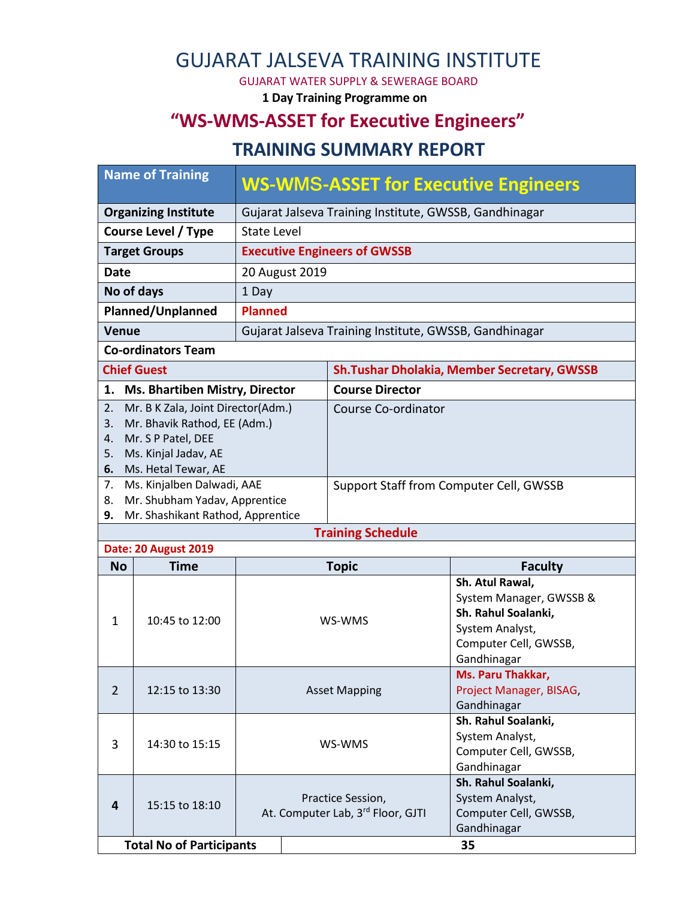## GUJARAT JALSEVA TRAINING INSTITUTE

GUJARAT WATER SUPPLY & SEWERAGE BOARD

**1 Day Training Programme on**

# **"WS-WMS-ASSET for Executive Engineers"**

### **TRAINING SUMMARY REPORT**

| <b>Name of Training</b>                                                        |                                 | <b>WS-WMS-ASSET for Executive Engineers</b>            |              |                                                        |                                                                                                                              |  |  |  |
|--------------------------------------------------------------------------------|---------------------------------|--------------------------------------------------------|--------------|--------------------------------------------------------|------------------------------------------------------------------------------------------------------------------------------|--|--|--|
| <b>Organizing Institute</b>                                                    |                                 | Gujarat Jalseva Training Institute, GWSSB, Gandhinagar |              |                                                        |                                                                                                                              |  |  |  |
|                                                                                | <b>Course Level / Type</b>      | <b>State Level</b>                                     |              |                                                        |                                                                                                                              |  |  |  |
|                                                                                | <b>Target Groups</b>            | <b>Executive Engineers of GWSSB</b>                    |              |                                                        |                                                                                                                              |  |  |  |
| <b>Date</b>                                                                    |                                 | 20 August 2019                                         |              |                                                        |                                                                                                                              |  |  |  |
| No of days                                                                     |                                 | 1 Day                                                  |              |                                                        |                                                                                                                              |  |  |  |
| Planned/Unplanned                                                              |                                 | <b>Planned</b>                                         |              |                                                        |                                                                                                                              |  |  |  |
| <b>Venue</b>                                                                   |                                 | Gujarat Jalseva Training Institute, GWSSB, Gandhinagar |              |                                                        |                                                                                                                              |  |  |  |
|                                                                                | <b>Co-ordinators Team</b>       |                                                        |              |                                                        |                                                                                                                              |  |  |  |
| <b>Chief Guest</b>                                                             |                                 | <b>Sh.Tushar Dholakia, Member Secretary, GWSSB</b>     |              |                                                        |                                                                                                                              |  |  |  |
| <b>Ms. Bhartiben Mistry, Director</b><br>1.                                    |                                 |                                                        |              | <b>Course Director</b>                                 |                                                                                                                              |  |  |  |
| Mr. B K Zala, Joint Director(Adm.)<br>2.<br>Mr. Bhavik Rathod, EE (Adm.)       |                                 |                                                        |              | Course Co-ordinator                                    |                                                                                                                              |  |  |  |
| 3.<br>4.                                                                       | Mr. S P Patel, DEE              |                                                        |              |                                                        |                                                                                                                              |  |  |  |
| 5.                                                                             | Ms. Kinjal Jadav, AE            |                                                        |              |                                                        |                                                                                                                              |  |  |  |
| Ms. Hetal Tewar, AE<br>6.                                                      |                                 |                                                        |              |                                                        |                                                                                                                              |  |  |  |
| 7.                                                                             | Ms. Kinjalben Dalwadi, AAE      |                                                        |              | Support Staff from Computer Cell, GWSSB                |                                                                                                                              |  |  |  |
| Mr. Shubham Yadav, Apprentice<br>8.<br>Mr. Shashikant Rathod, Apprentice<br>9. |                                 |                                                        |              |                                                        |                                                                                                                              |  |  |  |
|                                                                                |                                 |                                                        |              | <b>Training Schedule</b>                               |                                                                                                                              |  |  |  |
|                                                                                | Date: 20 August 2019            |                                                        |              |                                                        |                                                                                                                              |  |  |  |
| <b>No</b>                                                                      | <b>Time</b>                     |                                                        | <b>Topic</b> |                                                        | <b>Faculty</b>                                                                                                               |  |  |  |
| 1                                                                              | 10:45 to 12:00                  |                                                        |              | WS-WMS                                                 | Sh. Atul Rawal,<br>System Manager, GWSSB &<br>Sh. Rahul Soalanki,<br>System Analyst,<br>Computer Cell, GWSSB,<br>Gandhinagar |  |  |  |
| $\overline{2}$                                                                 | 12:15 to 13:30                  |                                                        |              | <b>Asset Mapping</b>                                   | Ms. Paru Thakkar,<br>Project Manager, BISAG,<br>Gandhinagar                                                                  |  |  |  |
| 3                                                                              | 14:30 to 15:15                  | WS-WMS                                                 |              |                                                        | Sh. Rahul Soalanki,<br>System Analyst,<br>Computer Cell, GWSSB,<br>Gandhinagar                                               |  |  |  |
| 4                                                                              | 15:15 to 18:10                  |                                                        |              | Practice Session,<br>At. Computer Lab, 3rd Floor, GJTI | Sh. Rahul Soalanki,<br>System Analyst,<br>Computer Cell, GWSSB,<br>Gandhinagar                                               |  |  |  |
|                                                                                | <b>Total No of Participants</b> |                                                        |              | 35                                                     |                                                                                                                              |  |  |  |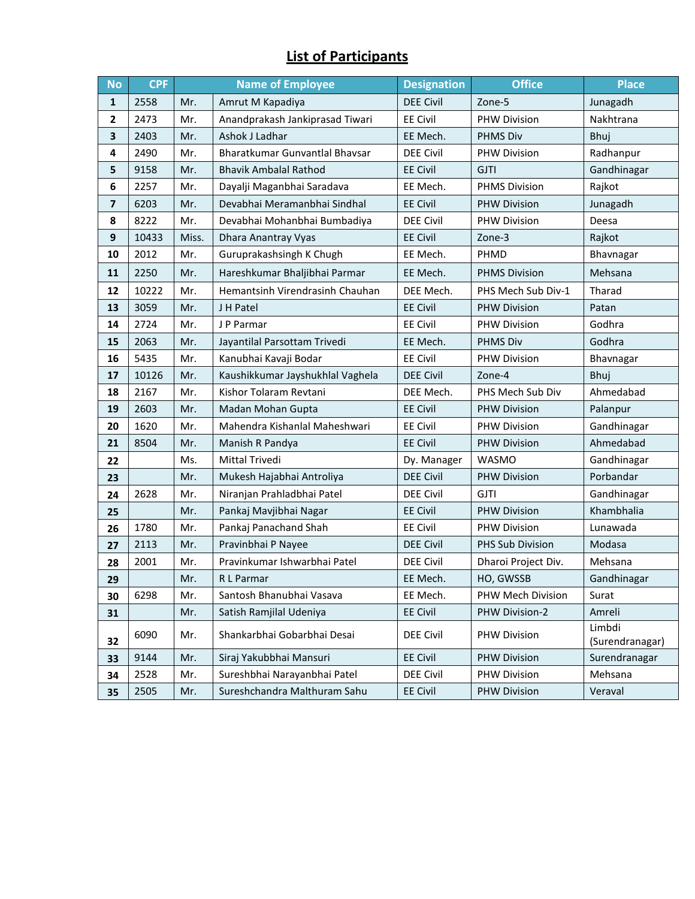#### **List of Participants**

| <b>No</b>               | <b>CPF</b> | <b>Name of Employee</b> |                                  | <b>Designation</b> | <b>Office</b>           | <b>Place</b>              |
|-------------------------|------------|-------------------------|----------------------------------|--------------------|-------------------------|---------------------------|
| $\mathbf{1}$            | 2558       | Mr.                     | Amrut M Kapadiya                 | <b>DEE Civil</b>   | Zone-5                  | Junagadh                  |
| $\mathbf{2}$            | 2473       | Mr.                     | Anandprakash Jankiprasad Tiwari  | <b>EE Civil</b>    | <b>PHW Division</b>     | Nakhtrana                 |
| 3                       | 2403       | Mr.                     | Ashok J Ladhar                   | EE Mech.           | <b>PHMS Div</b>         | Bhuj                      |
| 4                       | 2490       | Mr.                     | Bharatkumar Gunvantlal Bhavsar   | <b>DEE Civil</b>   | <b>PHW Division</b>     | Radhanpur                 |
| 5                       | 9158       | Mr.                     | <b>Bhavik Ambalal Rathod</b>     | <b>EE Civil</b>    | <b>GJTI</b>             | Gandhinagar               |
| 6                       | 2257       | Mr.                     | Dayalji Maganbhai Saradava       | EE Mech.           | <b>PHMS Division</b>    | Rajkot                    |
| $\overline{\mathbf{z}}$ | 6203       | Mr.                     | Devabhai Meramanbhai Sindhal     | <b>EE Civil</b>    | <b>PHW Division</b>     | Junagadh                  |
| 8                       | 8222       | Mr.                     | Devabhai Mohanbhai Bumbadiya     | <b>DEE Civil</b>   | <b>PHW Division</b>     | Deesa                     |
| 9                       | 10433      | Miss.                   | Dhara Anantray Vyas              | <b>EE Civil</b>    | Zone-3                  | Rajkot                    |
| 10                      | 2012       | Mr.                     | Guruprakashsingh K Chugh         | EE Mech.           | PHMD                    | Bhavnagar                 |
| 11                      | 2250       | Mr.                     | Hareshkumar Bhaljibhai Parmar    | EE Mech.           | <b>PHMS Division</b>    | Mehsana                   |
| 12                      | 10222      | Mr.                     | Hemantsinh Virendrasinh Chauhan  | DEE Mech.          | PHS Mech Sub Div-1      | Tharad                    |
| 13                      | 3059       | Mr.                     | J H Patel                        | <b>EE Civil</b>    | <b>PHW Division</b>     | Patan                     |
| 14                      | 2724       | Mr.                     | J P Parmar                       | <b>EE Civil</b>    | <b>PHW Division</b>     | Godhra                    |
| 15                      | 2063       | Mr.                     | Jayantilal Parsottam Trivedi     | EE Mech.           | <b>PHMS Div</b>         | Godhra                    |
| 16                      | 5435       | Mr.                     | Kanubhai Kavaji Bodar            | <b>EE Civil</b>    | <b>PHW Division</b>     | Bhavnagar                 |
| 17                      | 10126      | Mr.                     | Kaushikkumar Jayshukhlal Vaghela | <b>DEE Civil</b>   | Zone-4                  | Bhuj                      |
| 18                      | 2167       | Mr.                     | Kishor Tolaram Revtani           | DEE Mech.          | PHS Mech Sub Div        | Ahmedabad                 |
| 19                      | 2603       | Mr.                     | Madan Mohan Gupta                | <b>EE Civil</b>    | <b>PHW Division</b>     | Palanpur                  |
| 20                      | 1620       | Mr.                     | Mahendra Kishanlal Maheshwari    | <b>EE Civil</b>    | <b>PHW Division</b>     | Gandhinagar               |
| 21                      | 8504       | Mr.                     | Manish R Pandya                  | <b>EE Civil</b>    | <b>PHW Division</b>     | Ahmedabad                 |
| 22                      |            | Ms.                     | Mittal Trivedi                   | Dy. Manager        | <b>WASMO</b>            | Gandhinagar               |
| 23                      |            | Mr.                     | Mukesh Hajabhai Antroliya        | <b>DEE Civil</b>   | <b>PHW Division</b>     | Porbandar                 |
| 24                      | 2628       | Mr.                     | Niranjan Prahladbhai Patel       | <b>DEE Civil</b>   | GJTI                    | Gandhinagar               |
| 25                      |            | Mr.                     | Pankaj Mavjibhai Nagar           | <b>EE Civil</b>    | <b>PHW Division</b>     | Khambhalia                |
| 26                      | 1780       | Mr.                     | Pankaj Panachand Shah            | <b>EE Civil</b>    | <b>PHW Division</b>     | Lunawada                  |
| 27                      | 2113       | Mr.                     | Pravinbhai P Nayee               | <b>DEE Civil</b>   | <b>PHS Sub Division</b> | Modasa                    |
| 28                      | 2001       | Mr.                     | Pravinkumar Ishwarbhai Patel     | <b>DEE Civil</b>   | Dharoi Project Div.     | Mehsana                   |
| 29                      |            | Mr.                     | R L Parmar                       | EE Mech.           | HO, GWSSB               | Gandhinagar               |
| 30                      | 6298       | Mr.                     | Santosh Bhanubhai Vasava         | EE Mech.           | PHW Mech Division       | Surat                     |
| 31                      |            | Mr.                     | Satish Ramjilal Udeniya          | <b>EE Civil</b>    | PHW Division-2          | Amreli                    |
| 32                      | 6090       | Mr.                     | Shankarbhai Gobarbhai Desai      | <b>DEE Civil</b>   | <b>PHW Division</b>     | Limbdi<br>(Surendranagar) |
| 33                      | 9144       | Mr.                     | Siraj Yakubbhai Mansuri          | <b>EE Civil</b>    | <b>PHW Division</b>     | Surendranagar             |
| 34                      | 2528       | Mr.                     | Sureshbhai Narayanbhai Patel     | <b>DEE Civil</b>   | PHW Division            | Mehsana                   |
| 35                      | 2505       | Mr.                     | Sureshchandra Malthuram Sahu     | <b>EE Civil</b>    | <b>PHW Division</b>     | Veraval                   |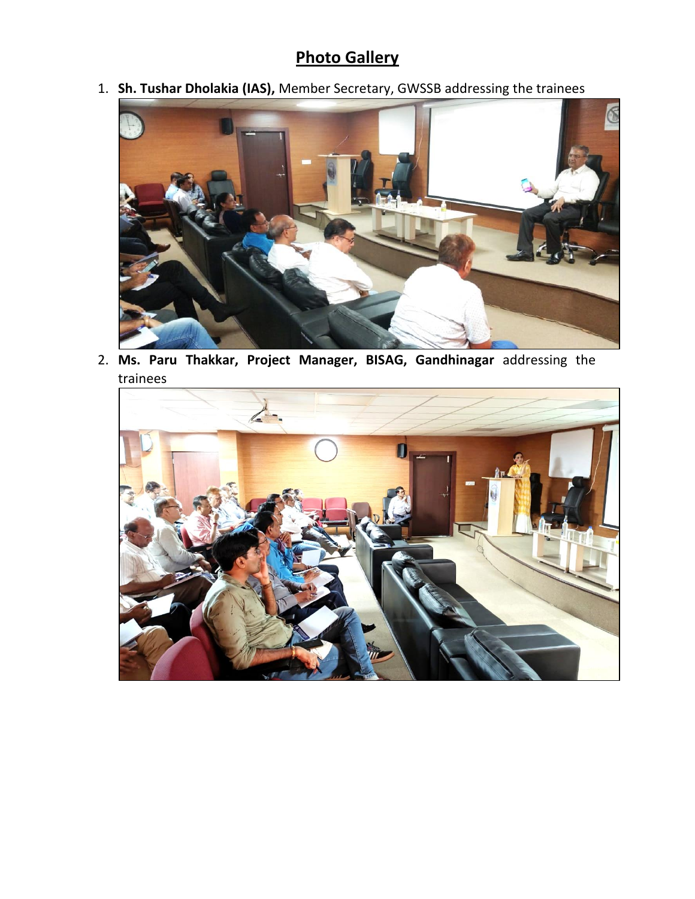#### **Photo Gallery**

1. **Sh. Tushar Dholakia (IAS),** Member Secretary, GWSSB addressing the trainees



2. **Ms. Paru Thakkar, Project Manager, BISAG, Gandhinagar** addressing the trainees

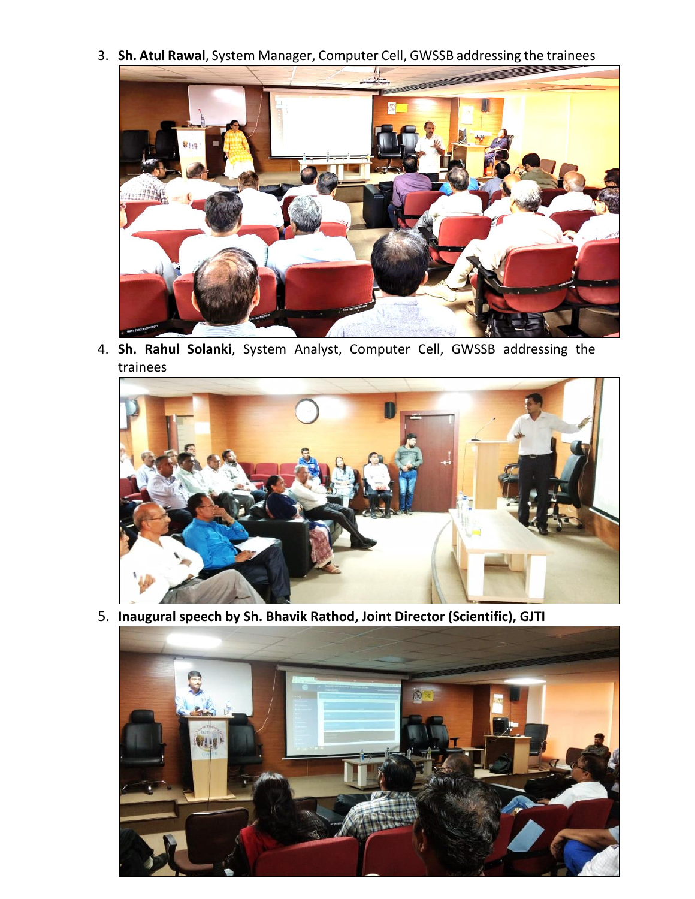3. **Sh. Atul Rawal**, System Manager, Computer Cell, GWSSB addressing the trainees



4. **Sh. Rahul Solanki**, System Analyst, Computer Cell, GWSSB addressing the trainees



5. **Inaugural speech by Sh. Bhavik Rathod, Joint Director (Scientific), GJTI**